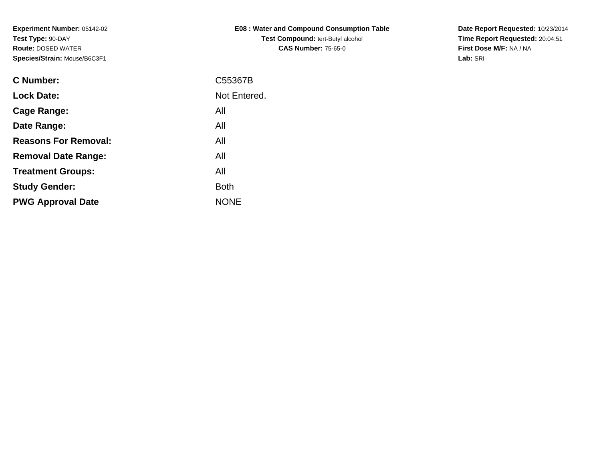| <b>E08: Water and Compound Consumption Table</b> |
|--------------------------------------------------|
| <b>Test Compound: tert-Butyl alcohol</b>         |
| <b>CAS Number: 75-65-0</b>                       |

**Date Report Requested:** 10/23/2014 **Time Report Requested:** 20:04:51**First Dose M/F:** NA / NA**Lab:** SRI

| <b>C</b> Number:            | C55367B      |
|-----------------------------|--------------|
| <b>Lock Date:</b>           | Not Entered. |
| Cage Range:                 | All          |
| Date Range:                 | All          |
| <b>Reasons For Removal:</b> | All          |
| <b>Removal Date Range:</b>  | All          |
| <b>Treatment Groups:</b>    | All          |
| <b>Study Gender:</b>        | <b>Both</b>  |
| <b>PWG Approval Date</b>    | <b>NONE</b>  |
|                             |              |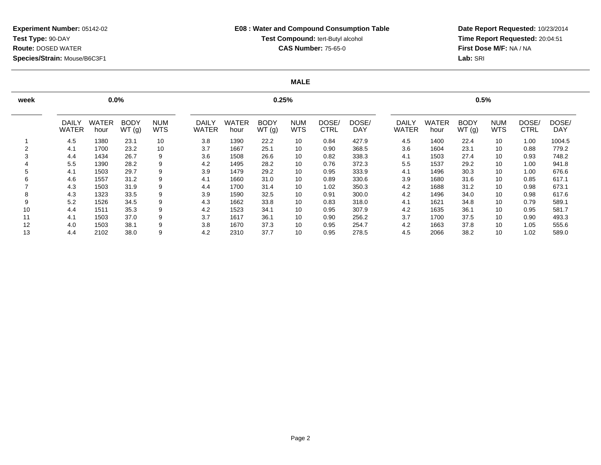**Date Report Requested:** 10/23/2014 **Time Report Requested:** 20:04:51**First Dose M/F:** NA / NA**Lab:** SRI

#### **MALE**

| week |                              | $0.0\%$              |                      |                          |                              |               | 0.25%                |                          |                      | 0.5%                |                       |                      |                      |                          |               |                     |
|------|------------------------------|----------------------|----------------------|--------------------------|------------------------------|---------------|----------------------|--------------------------|----------------------|---------------------|-----------------------|----------------------|----------------------|--------------------------|---------------|---------------------|
|      | <b>DAILY</b><br><b>WATER</b> | <b>WATER</b><br>hour | <b>BODY</b><br>WT(g) | <b>NUM</b><br><b>WTS</b> | <b>DAILY</b><br><b>WATER</b> | WATER<br>hour | <b>BODY</b><br>WT(g) | <b>NUM</b><br><b>WTS</b> | DOSE/<br><b>CTRL</b> | DOSE/<br><b>DAY</b> | DAILY<br><b>WATER</b> | <b>WATER</b><br>hour | <b>BODY</b><br>WT(g) | <b>NUM</b><br><b>WTS</b> | DOSE/<br>CTRL | DOSE/<br><b>DAY</b> |
|      | 4.5                          | 1380                 | 23.1                 | 10                       | 3.8                          | 1390          | 22.2                 | 10                       | 0.84                 | 427.9               | 4.5                   | 1400                 | 22.4                 | 10                       | 1.00          | 1004.5              |
|      | 4.1                          | 1700                 | 23.2                 | 10                       | 3.7                          | 1667          | 25.1                 | 10                       | 0.90                 | 368.5               | 3.6                   | 1604                 | 23.1                 | 10                       | 0.88          | 779.2               |
| 3    | 4.4                          | 1434                 | 26.7                 | 9                        | 3.6                          | 1508          | 26.6                 | 10                       | 0.82                 | 338.3               | 4.1                   | 1503                 | 27.4                 | 10                       | 0.93          | 748.2               |
|      | 5.5                          | 1390                 | 28.2                 | 9                        | 4.2                          | 1495          | 28.2                 | 10                       | 0.76                 | 372.3               | 5.5                   | 1537                 | 29.2                 | 10                       | 1.00          | 941.8               |
| 5    | 4.1                          | 1503                 | 29.7                 | 9                        | 3.9                          | 1479          | 29.2                 | 10                       | 0.95                 | 333.9               | 4.1                   | 1496                 | 30.3                 | 10                       | 1.00          | 676.6               |
| 6    | 4.6                          | 1557                 | 31.2                 | 9                        | 4.1                          | 1660          | 31.0                 | 10                       | 0.89                 | 330.6               | 3.9                   | 1680                 | 31.6                 | 10                       | 0.85          | 617.1               |
|      | 4.3                          | 1503                 | 31.9                 | 9                        | 4.4                          | 1700          | 31.4                 | 10                       | 1.02                 | 350.3               | 4.2                   | 1688                 | 31.2                 | 10                       | 0.98          | 673.1               |
| 8    | 4.3                          | 1323                 | 33.5                 | 9                        | 3.9                          | 1590          | 32.5                 | 10                       | 0.91                 | 300.0               | 4.2                   | 1496                 | 34.0                 | 10                       | 0.98          | 617.6               |
| 9    | 5.2                          | 1526                 | 34.5                 | 9                        | 4.3                          | 1662          | 33.8                 | 10                       | 0.83                 | 318.0               | 4.1                   | 1621                 | 34.8                 | 10                       | 0.79          | 589.1               |
| 10   | 4.4                          | 1511                 | 35.3                 | 9                        | 4.2                          | 1523          | 34.1                 | 10                       | 0.95                 | 307.9               | 4.2                   | 1635                 | 36.1                 | 10                       | 0.95          | 581.7               |
| 11   | 4.1                          | 1503                 | 37.0                 | 9                        | 3.7                          | 1617          | 36.1                 | 10                       | 0.90                 | 256.2               | 3.7                   | 1700                 | 37.5                 | 10                       | 0.90          | 493.3               |
| 12   | 4.0                          | 1503                 | 38.1                 | 9                        | 3.8                          | 1670          | 37.3                 | 10                       | 0.95                 | 254.7               | 4.2                   | 1663                 | 37.8                 | 10                       | 1.05          | 555.6               |
| 13   | 4.4                          | 2102                 | 38.0                 | 9                        | 4.2                          | 2310          | 37.7                 | 10                       | 0.95                 | 278.5               | 4.5                   | 2066                 | 38.2                 | 10                       | 1.02          | 589.0               |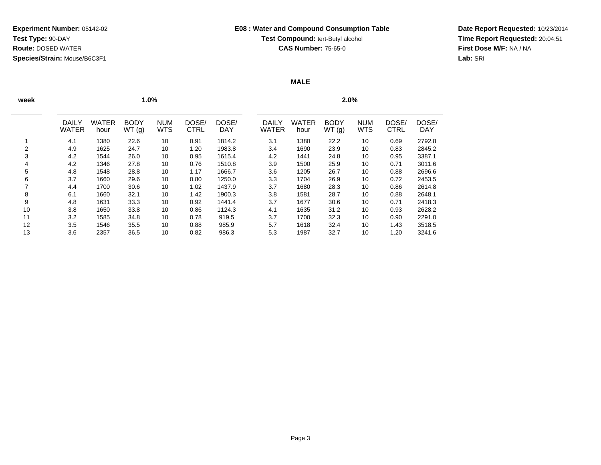## **E08 : Water and Compound Consumption TableTest Compound:** tert-Butyl alcohol **CAS Number:** 75-65-0

# **Date Report Requested:** 10/23/2014 **Time Report Requested:** 20:04:51**First Dose M/F:** NA / NA**Lab:** SRI

#### **MALE**

| week |                              |                      | 1.0%                 |                          |                      |                     | 2.0%                         |                      |                      |                          |                      |                     |  |  |
|------|------------------------------|----------------------|----------------------|--------------------------|----------------------|---------------------|------------------------------|----------------------|----------------------|--------------------------|----------------------|---------------------|--|--|
|      | <b>DAILY</b><br><b>WATER</b> | <b>WATER</b><br>hour | <b>BODY</b><br>WT(g) | <b>NUM</b><br><b>WTS</b> | DOSE/<br><b>CTRL</b> | DOSE/<br><b>DAY</b> | <b>DAILY</b><br><b>WATER</b> | <b>WATER</b><br>hour | <b>BODY</b><br>WT(g) | <b>NUM</b><br><b>WTS</b> | DOSE/<br><b>CTRL</b> | DOSE/<br><b>DAY</b> |  |  |
|      | 4.1                          | 1380                 | 22.6                 | 10                       | 0.91                 | 1814.2              | 3.1                          | 1380                 | 22.2                 | 10                       | 0.69                 | 2792.8              |  |  |
| 2    | 4.9                          | 1625                 | 24.7                 | 10                       | 1.20                 | 1983.8              | 3.4                          | 1690                 | 23.9                 | 10                       | 0.83                 | 2845.2              |  |  |
| 3    | 4.2                          | 1544                 | 26.0                 | 10                       | 0.95                 | 1615.4              | 4.2                          | 1441                 | 24.8                 | 10                       | 0.95                 | 3387.1              |  |  |
| 4    | 4.2                          | 1346                 | 27.8                 | 10                       | 0.76                 | 1510.8              | 3.9                          | 1500                 | 25.9                 | 10                       | 0.71                 | 3011.6              |  |  |
| 5    | 4.8                          | 1548                 | 28.8                 | 10                       | 1.17                 | 1666.7              | 3.6                          | 1205                 | 26.7                 | 10                       | 0.88                 | 2696.6              |  |  |
| 6    | 3.7                          | 1660                 | 29.6                 | 10                       | 0.80                 | 1250.0              | 3.3                          | 1704                 | 26.9                 | 10                       | 0.72                 | 2453.5              |  |  |
| 7    | 4.4                          | 1700                 | 30.6                 | 10                       | 1.02                 | 1437.9              | 3.7                          | 1680                 | 28.3                 | 10                       | 0.86                 | 2614.8              |  |  |
| 8    | 6.1                          | 1660                 | 32.1                 | 10                       | 1.42                 | 1900.3              | 3.8                          | 1581                 | 28.7                 | 10                       | 0.88                 | 2648.1              |  |  |
| 9    | 4.8                          | 1631                 | 33.3                 | 10                       | 0.92                 | 1441.4              | 3.7                          | 1677                 | 30.6                 | 10                       | 0.71                 | 2418.3              |  |  |
| 10   | 3.8                          | 1650                 | 33.8                 | 10                       | 0.86                 | 1124.3              | 4.1                          | 1635                 | 31.2                 | 10                       | 0.93                 | 2628.2              |  |  |
| 11   | 3.2                          | 1585                 | 34.8                 | 10                       | 0.78                 | 919.5               | 3.7                          | 1700                 | 32.3                 | 10                       | 0.90                 | 2291.0              |  |  |
| 12   | 3.5                          | 1546                 | 35.5                 | 10                       | 0.88                 | 985.9               | 5.7                          | 1618                 | 32.4                 | 10                       | 1.43                 | 3518.5              |  |  |
| 13   | 3.6                          | 2357                 | 36.5                 | 10                       | 0.82                 | 986.3               | 5.3                          | 1987                 | 32.7                 | 10                       | 1.20                 | 3241.6              |  |  |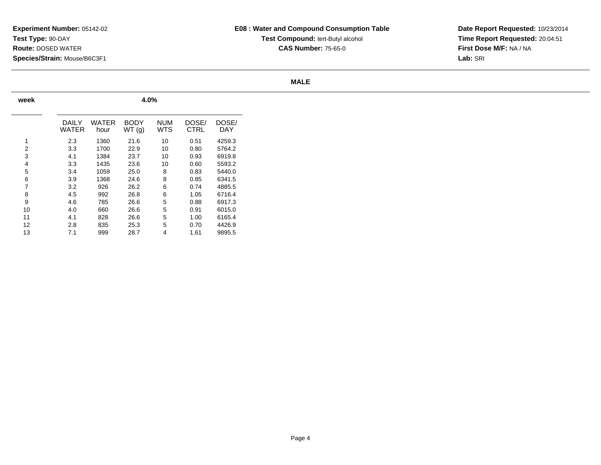**Date Report Requested:** 10/23/2014 **Time Report Requested:** 20:04:51**First Dose M/F:** NA / NA**Lab:** SRI

#### **MALE**

| week |                | 4.0%          |                      |                   |               |                     |  |  |  |  |  |  |  |
|------|----------------|---------------|----------------------|-------------------|---------------|---------------------|--|--|--|--|--|--|--|
|      | DAILY<br>WATER | WATER<br>hour | <b>BODY</b><br>WT(g) | <b>NUM</b><br>WTS | DOSE/<br>CTRL | DOSE/<br><b>DAY</b> |  |  |  |  |  |  |  |
| 1    | 2.3            | 1360          | 21.6                 | 10                | 0.51          | 4259.3              |  |  |  |  |  |  |  |
| 2    | 3.3            | 1700          | 22.9                 | 10                | 0.80          | 5764.2              |  |  |  |  |  |  |  |
| 3    | 4.1            | 1384          | 23.7                 | 10                | 0.93          | 6919.8              |  |  |  |  |  |  |  |
| 4    | 3.3            | 1435          | 23.6                 | 10                | 0.60          | 5593.2              |  |  |  |  |  |  |  |
| 5    | 3.4            | 1059          | 25.0                 | 8                 | 0.83          | 5440.0              |  |  |  |  |  |  |  |
| 6    | 3.9            | 1368          | 24.6                 | 8                 | 0.85          | 6341.5              |  |  |  |  |  |  |  |
| 7    | 3.2            | 926           | 26.2                 | 6                 | 0.74          | 4885.5              |  |  |  |  |  |  |  |
| 8    | 4.5            | 992           | 26.8                 | 6                 | 1.05          | 6716.4              |  |  |  |  |  |  |  |
| 9    | 4.6            | 785           | 26.6                 | 5                 | 0.88          | 6917.3              |  |  |  |  |  |  |  |
| 10   | 4.0            | 660           | 26.6                 | 5                 | 0.91          | 6015.0              |  |  |  |  |  |  |  |
| 11   | 4.1            | 828           | 26.6                 | 5                 | 1.00          | 6165.4              |  |  |  |  |  |  |  |
| 12   | 2.8            | 835           | 25.3                 | 5                 | 0.70          | 4426.9              |  |  |  |  |  |  |  |
| 13   | 7.1            | 999           | 28.7                 | 4                 | 1.61          | 9895.5              |  |  |  |  |  |  |  |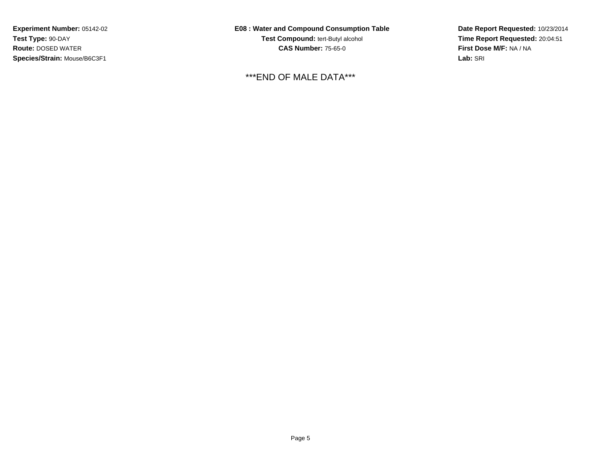**E08 : Water and Compound Consumption TableTest Compound:** tert-Butyl alcohol **CAS Number:** 75-65-0

\*\*\*END OF MALE DATA\*\*\*

**Date Report Requested:** 10/23/2014 **Time Report Requested:** 20:04:51**First Dose M/F:** NA / NA**Lab:** SRI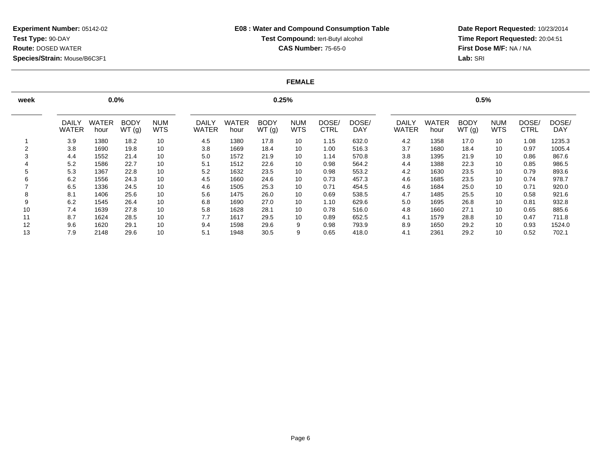# **Date Report Requested:** 10/23/2014 **Time Report Requested:** 20:04:51**First Dose M/F:** NA / NA**Lab:** SRI

#### **FEMALE**

| week |                              | $0.0\%$              |                      |                          |                              |               | 0.25%                |                          |                      | 0.5%                |                       |                      |                      |                          |               |                     |
|------|------------------------------|----------------------|----------------------|--------------------------|------------------------------|---------------|----------------------|--------------------------|----------------------|---------------------|-----------------------|----------------------|----------------------|--------------------------|---------------|---------------------|
|      | <b>DAILY</b><br><b>WATER</b> | <b>WATER</b><br>hour | <b>BODY</b><br>WT(g) | <b>NUM</b><br><b>WTS</b> | <b>DAILY</b><br><b>WATER</b> | WATER<br>hour | <b>BODY</b><br>WT(g) | <b>NUM</b><br><b>WTS</b> | DOSE/<br><b>CTRL</b> | DOSE/<br><b>DAY</b> | DAILY<br><b>WATER</b> | <b>WATER</b><br>hour | <b>BODY</b><br>WT(g) | <b>NUM</b><br><b>WTS</b> | DOSE/<br>CTRL | DOSE/<br><b>DAY</b> |
|      | 3.9                          | 1380                 | 18.2                 | 10                       | 4.5                          | 1380          | 17.8                 | 10                       | 1.15                 | 632.0               | 4.2                   | 1358                 | 17.0                 | 10                       | 1.08          | 1235.3              |
|      | 3.8                          | 1690                 | 19.8                 | 10                       | 3.8                          | 1669          | 18.4                 | 10                       | 1.00                 | 516.3               | 3.7                   | 1680                 | 18.4                 | 10                       | 0.97          | 1005.4              |
| 3    | 4.4                          | 1552                 | 21.4                 | 10                       | 5.0                          | 1572          | 21.9                 | 10                       | 1.14                 | 570.8               | 3.8                   | 1395                 | 21.9                 | 10                       | 0.86          | 867.6               |
|      | 5.2                          | 1586                 | 22.7                 | 10                       | 5.1                          | 1512          | 22.6                 | 10                       | 0.98                 | 564.2               | 4.4                   | 1388                 | 22.3                 | 10                       | 0.85          | 986.5               |
| 5    | 5.3                          | 1367                 | 22.8                 | 10                       | 5.2                          | 1632          | 23.5                 | 10                       | 0.98                 | 553.2               | 4.2                   | 1630                 | 23.5                 | 10                       | 0.79          | 893.6               |
| 6    | 6.2                          | 1556                 | 24.3                 | 10                       | 4.5                          | 1660          | 24.6                 | 10                       | 0.73                 | 457.3               | 4.6                   | 1685                 | 23.5                 | 10                       | 0.74          | 978.7               |
|      | 6.5                          | 1336                 | 24.5                 | 10                       | 4.6                          | 1505          | 25.3                 | 10                       | 0.71                 | 454.5               | 4.6                   | 1684                 | 25.0                 | 10                       | 0.71          | 920.0               |
| 8    | 8.1                          | 1406                 | 25.6                 | 10                       | 5.6                          | 1475          | 26.0                 | 10                       | 0.69                 | 538.5               | 4.7                   | 1485                 | 25.5                 | 10                       | 0.58          | 921.6               |
| 9    | 6.2                          | 1545                 | 26.4                 | 10                       | 6.8                          | 1690          | 27.0                 | 10                       | 1.10                 | 629.6               | 5.0                   | 1695                 | 26.8                 | 10                       | 0.81          | 932.8               |
| 10   | 7.4                          | 1639                 | 27.8                 | 10                       | 5.8                          | 1628          | 28.1                 | 10                       | 0.78                 | 516.0               | 4.8                   | 1660                 | 27.1                 | 10                       | 0.65          | 885.6               |
| 11   | 8.7                          | 1624                 | 28.5                 | 10                       | 7.7                          | 1617          | 29.5                 | 10                       | 0.89                 | 652.5               | 4.1                   | 1579                 | 28.8                 | 10                       | 0.47          | 711.8               |
| 12   | 9.6                          | 1620                 | 29.1                 | 10                       | 9.4                          | 1598          | 29.6                 | 9                        | 0.98                 | 793.9               | 8.9                   | 1650                 | 29.2                 | 10                       | 0.93          | 1524.0              |
| 13   | 7.9                          | 2148                 | 29.6                 | 10                       | 5.1                          | 1948          | 30.5                 | 9                        | 0.65                 | 418.0               | 4.1                   | 2361                 | 29.2                 | 10                       | 0.52          | 702.1               |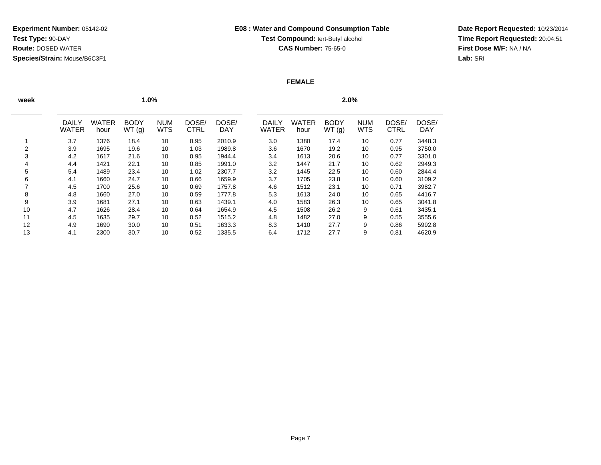**Date Report Requested:** 10/23/2014 **Time Report Requested:** 20:04:51**First Dose M/F:** NA / NA**Lab:** SRI

#### **FEMALE**

| week           |                              |                      | 1.0%                 |                          |                      |                     | 2.0%                  |                      |                      |                          |                      |                     |  |  |
|----------------|------------------------------|----------------------|----------------------|--------------------------|----------------------|---------------------|-----------------------|----------------------|----------------------|--------------------------|----------------------|---------------------|--|--|
|                | <b>DAILY</b><br><b>WATER</b> | <b>WATER</b><br>hour | <b>BODY</b><br>WT(g) | <b>NUM</b><br><b>WTS</b> | DOSE/<br><b>CTRL</b> | DOSE/<br><b>DAY</b> | DAILY<br><b>WATER</b> | <b>WATER</b><br>hour | <b>BODY</b><br>WT(g) | <b>NUM</b><br><b>WTS</b> | DOSE/<br><b>CTRL</b> | DOSE/<br><b>DAY</b> |  |  |
|                | 3.7                          | 1376                 | 18.4                 | 10                       | 0.95                 | 2010.9              | 3.0                   | 1380                 | 17.4                 | 10                       | 0.77                 | 3448.3              |  |  |
| $\overline{2}$ | 3.9                          | 1695                 | 19.6                 | 10                       | 1.03                 | 1989.8              | 3.6                   | 1670                 | 19.2                 | 10                       | 0.95                 | 3750.0              |  |  |
| 3              | 4.2                          | 1617                 | 21.6                 | 10                       | 0.95                 | 1944.4              | 3.4                   | 1613                 | 20.6                 | 10                       | 0.77                 | 3301.0              |  |  |
| 4              | 4.4                          | 1421                 | 22.1                 | 10                       | 0.85                 | 1991.0              | 3.2                   | 1447                 | 21.7                 | 10                       | 0.62                 | 2949.3              |  |  |
| 5              | 5.4                          | 1489                 | 23.4                 | 10                       | 1.02                 | 2307.7              | 3.2                   | 1445                 | 22.5                 | 10                       | 0.60                 | 2844.4              |  |  |
| 6              | 4.1                          | 1660                 | 24.7                 | 10                       | 0.66                 | 1659.9              | 3.7                   | 1705                 | 23.8                 | 10                       | 0.60                 | 3109.2              |  |  |
|                | 4.5                          | 1700                 | 25.6                 | 10                       | 0.69                 | 1757.8              | 4.6                   | 1512                 | 23.1                 | 10                       | 0.71                 | 3982.7              |  |  |
| 8              | 4.8                          | 1660                 | 27.0                 | 10                       | 0.59                 | 1777.8              | 5.3                   | 1613                 | 24.0                 | 10                       | 0.65                 | 4416.7              |  |  |
| 9              | 3.9                          | 1681                 | 27.1                 | 10                       | 0.63                 | 1439.1              | 4.0                   | 1583                 | 26.3                 | 10                       | 0.65                 | 3041.8              |  |  |
| 10             | 4.7                          | 1626                 | 28.4                 | 10                       | 0.64                 | 1654.9              | 4.5                   | 1508                 | 26.2                 | 9                        | 0.61                 | 3435.1              |  |  |
| 11             | 4.5                          | 1635                 | 29.7                 | 10                       | 0.52                 | 1515.2              | 4.8                   | 1482                 | 27.0                 | 9                        | 0.55                 | 3555.6              |  |  |
| 12             | 4.9                          | 1690                 | 30.0                 | 10                       | 0.51                 | 1633.3              | 8.3                   | 1410                 | 27.7                 | 9                        | 0.86                 | 5992.8              |  |  |
| 13             | 4.1                          | 2300                 | 30.7                 | 10                       | 0.52                 | 1335.5              | 6.4                   | 1712                 | 27.7                 | 9                        | 0.81                 | 4620.9              |  |  |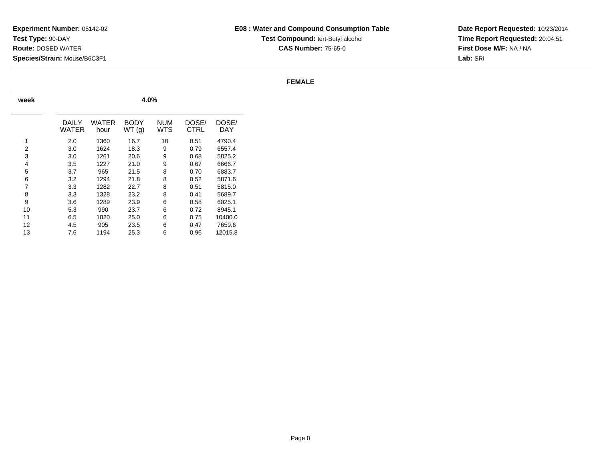**Date Report Requested:** 10/23/2014 **Time Report Requested:** 20:04:51**First Dose M/F:** NA / NA**Lab:** SRI

#### **FEMALE**

| week           | 4.0%           |               |                       |                          |               |              |  |  |  |  |  |  |
|----------------|----------------|---------------|-----------------------|--------------------------|---------------|--------------|--|--|--|--|--|--|
|                | DAILY<br>WATER | WATER<br>hour | <b>BODY</b><br>WT (g) | <b>NUM</b><br><b>WTS</b> | DOSE/<br>CTRL | DOSE/<br>DAY |  |  |  |  |  |  |
| 1              | 2.0            | 1360          | 16.7                  | 10                       | 0.51          | 4790.4       |  |  |  |  |  |  |
| 2              | 3.0            | 1624          | 18.3                  | 9                        | 0.79          | 6557.4       |  |  |  |  |  |  |
| 3              | 3.0            | 1261          | 20.6                  | 9                        | 0.68          | 5825.2       |  |  |  |  |  |  |
| $\overline{4}$ | 3.5            | 1227          | 21.0                  | 9                        | 0.67          | 6666.7       |  |  |  |  |  |  |
| 5              | 3.7            | 965           | 21.5                  | 8                        | 0.70          | 6883.7       |  |  |  |  |  |  |
| 6              | 3.2            | 1294          | 21.8                  | 8                        | 0.52          | 5871.6       |  |  |  |  |  |  |
| 7              | 3.3            | 1282          | 22.7                  | 8                        | 0.51          | 5815.0       |  |  |  |  |  |  |
| 8              | 3.3            | 1328          | 23.2                  | 8                        | 0.41          | 5689.7       |  |  |  |  |  |  |
| 9              | 3.6            | 1289          | 23.9                  | 6                        | 0.58          | 6025.1       |  |  |  |  |  |  |
| 10             | 5.3            | 990           | 23.7                  | 6                        | 0.72          | 8945.1       |  |  |  |  |  |  |
| 11             | 6.5            | 1020          | 25.0                  | 6                        | 0.75          | 10400.0      |  |  |  |  |  |  |
| 12             | 4.5            | 905           | 23.5                  | 6                        | 0.47          | 7659.6       |  |  |  |  |  |  |
| 13             | 7.6            | 1194          | 25.3                  | 6                        | 0.96          | 12015.8      |  |  |  |  |  |  |